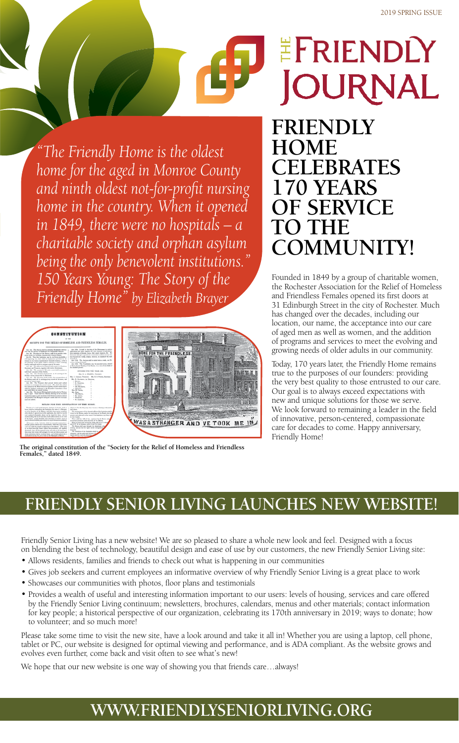**JOURNAL FRIENDLY HOME** 

- Allows residents, families and friends to check out what is happening in our communities
- Gives job seekers and current employees an informative overview of why Friendly Senior Living is a great place to work
- Showcases our communities with photos, floor plans and testimonials
- Provides a wealth of useful and interesting information important to our users: levels of housing, services and care offered by the Friendly Senior Living continuum; newsletters, brochures, calendars, menus and other materials; contact information for key people; a historical perspective of our organization, celebrating its 170th anniversary in 2019; ways to donate; how to volunteer; and so much more!

# **CELEBRATES 170 YEARS OF SERVICE TO THE COMMUNITY!**

EFRIENDLY

Founded in 1849 by a group of charitable women, the Rochester Association for the Relief of Homeless and Friendless Females opened its first doors at 31 Edinburgh Street in the city of Rochester. Much has changed over the decades, including our location, our name, the acceptance into our care of aged men as well as women, and the addition of programs and services to meet the evolving and growing needs of older adults in our community.

Today, 170 years later, the Friendly Home remains true to the purposes of our founders: providing the very best quality to those entrusted to our care. Our goal is to always exceed expectations with new and unique solutions for those we serve. We look forward to remaining a leader in the field of innovative, person-centered, compassionate care for decades to come. Happy anniversary, Friendly Home!

Friendly Senior Living has a new website! We are so pleased to share a whole new look and feel. Designed with a focus

on blending the best of technology, beautiful design and ease of use by our customers, the new Friendly Senior Living site:

Please take some time to visit the new site, have a look around and take it all in! Whether you are using a laptop, cell phone, tablet or PC, our website is designed for optimal viewing and performance, and is ADA compliant. As the website grows and evolves even further, come back and visit often to see what's new!

We hope that our new website is one way of showing you that friends care...always!

*"The Friendly Home is the oldest home for the aged in Monroe County and ninth oldest not-for-profit nursing home in the country. When it opened in 1849, there were no hospitals – a charitable society and orphan asylum being the only benevolent institutions." 150 Years Young: The Story of the Friendly Home" by Elizabeth Brayer*

| <b>CONSTITUTION</b><br>SOCIETY FOR THE RELIEF OF BOMELESS AND FRIENDLESS FEMALES.<br>Apr. 1914. It shall be the date of the Diversement to reclave                                                                                                                                                                                                                                                                                                                                                                                                                                                                                                                                                                                                                                                                                                                                                                                                                                                                                                                                                                                                                                                                                                                                                                                                                                                                                                                                                                                                                                                                                                                                                                                                                                                                                                                                                                                                                                                                                                                                                                                                                                                                                                                                                                                                                                                                                                                                                                                                                                                                 |                                  |
|--------------------------------------------------------------------------------------------------------------------------------------------------------------------------------------------------------------------------------------------------------------------------------------------------------------------------------------------------------------------------------------------------------------------------------------------------------------------------------------------------------------------------------------------------------------------------------------------------------------------------------------------------------------------------------------------------------------------------------------------------------------------------------------------------------------------------------------------------------------------------------------------------------------------------------------------------------------------------------------------------------------------------------------------------------------------------------------------------------------------------------------------------------------------------------------------------------------------------------------------------------------------------------------------------------------------------------------------------------------------------------------------------------------------------------------------------------------------------------------------------------------------------------------------------------------------------------------------------------------------------------------------------------------------------------------------------------------------------------------------------------------------------------------------------------------------------------------------------------------------------------------------------------------------------------------------------------------------------------------------------------------------------------------------------------------------------------------------------------------------------------------------------------------------------------------------------------------------------------------------------------------------------------------------------------------------------------------------------------------------------------------------------------------------------------------------------------------------------------------------------------------------------------------------------------------------------------------------------------------------|----------------------------------|
| Ass. Int. This Bacin's shall be suited the Boomeran Associa-<br>applications and make impairing as to the elementer of individuals.<br>to an on home or finances on Fearman Feesen.<br>their chanteries of bismake, becaus, their moral characters flat. (For<br>Apr. 34. The plant of this Banker shall be is possible a tem-<br>Disneyers abolt give a parent for a consecutive makers of new view<br>somer house for bioadium, business and virtuous boaster.<br>tion board nea weeks, solder), however, to married if the race.<br>Any 31. That the fastbation may be, as fat as precisable, a<br>distants in<br>adforegasting any, there shall be employment provided for the<br>Apr. 15th. The Auction shall be stated ratios a week, see 25-<br>instalar in the realizes departments of distrestic ensures), so for an<br>meters visiting he home?<br>the painwage of the public shall be extended to them-working.<br>Apr. 10th. This Canalisates may be seconded at eas Annual<br>insting and south work is company a just of the motor.<br>ar Brasi chassed Monking of the Paristic. In a vote of two-drink of<br>Apr. 46. The effected the flusters shall construct a President.<br>the monitors proper.<br>Receiver and Treasure, together with twelve Binoranam.<br>Apr. 36. The perment of \$3 centers your shall constitute on<br>OFFICIES FOR THE YEAR INC.<br>individual a monitor of this Harlety.<br>Apr. 66. The President shall provide at all movings of the<br>Mos. R. L. 881LDEN. Pennsylv.<br>Reisto-is he disease the 14 Flascene.<br>Mrs. C. Garagna, Thompson. Mrs. R. D. Francis, Burniston.<br>Ant, 10. The Berniary stall conduct the correspondence of<br>He, R. Hawayer, Int Direction,<br>the Barlott, mobile all its monitour, large records all the sames, and<br>- Rosen<br>present as special stand.<br>Apr. 85. The Teneger shall proved militia and unfield<br>1 E. Roome<br>accessor to accompany the second muscl. This shall also subsets<br>1 Bearings<br>he amenic is the Board element regained, and het sensel aquet,<br>* Te, Museum,<br>with the Auditor's continuity, in the Executive Connection at least<br>- General<br>any work before the amount semilous.<br>Mon M. Forests.<br>Apr. 3d. The Annual Moving shall be latil on the 1st Wadnes-<br>Mo. Room.<br>sign of April. There also be a Montaly Meeting of the Eurostine<br>1 Fa. Basers<br>Committee, spon to such members of the Barlett or choose to attend.<br>T. B. Lames<br>All seconds of the Moregan status the result shall lare be exam-<br>1 Bromsen.<br>load and ratified.<br>* R. Eugenes | THE FRIENDLESS                   |
| RULES FOR THE REGULATION OF THE HOME.<br>Franchis of a good mond character, destinate of Swede, Seats or 1<br>spheres in 10s, that they may then become a blooding to themselves<br>lease, shall be received into this freelington, by units of a Manager,<br>and allows.<br>or al the furniture of the Maters, early their many ran by countries,<br>The management of the demants offices of the featuring shall be<br>after which. If approved as worky applicants, they shall be located.<br>trend is the Moton, make the experience of the Board, who shall<br>and available of the suitable places can be found for them, with the<br>possible each educated go the wants of the Bastinston may from this<br>authorizating that is off-tase-fley shall conferm strictly to the raise<br>to them maybe.<br>of the boxes, accept discollers such standard at written places on<br>There shall be a left of fore, secureced by the Beard, militar<br>any be deeped estable, and valuator to pract themselves conducts.<br>accusional alterations at the discorting of the Macron.<br>Mosco of stategy and entertainties which whall be at 5 strategy<br>All issues of the fastotist shall be expected to appropriate a at<br>and 22 P. M. In account, and at 5 and 7 in where.<br>estudio perioa of their time to monoclisher, while they any remain.<br>The Matrea shall page through the demantator when<br>col to be under the number and showling of the Matron. They must<br>relating, und are that the lights are all restinguished<br>at an line learn the large without her promission, till regularly<br>accessive.<br>denised: they will be expected to the such order at the boots speci-<br>The designer of the Institution shall be<br>that, laws their mone will arranged, he next and tidy in pennis and<br>electronics, and the only a sad showwas of a<br>down, industries derive working boars, and to being attentively to<br>lands and in contrib channel.<br>such added as more for given those by the Managon at Metron.                                                                                                                                                                                                                                                                                                                                                                                                                                                                                                                                                                  | WAS A STRANGER AND VE TOOK ME IN |

**The original constitution of the "Society for the Relief of Homeless and Friendless Females," dated 1849.**

## **FRIENDLY SENIOR LIVING LAUNCHES NEW WEBSITE!**

## **WWW.FRIENDLYSENIORLIVING.ORG**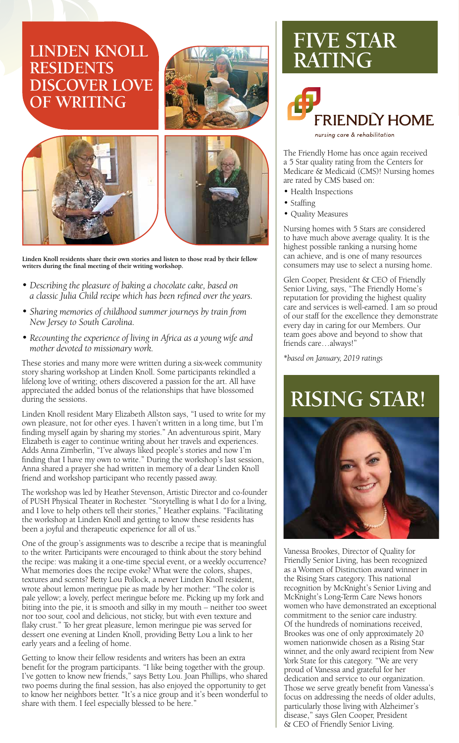- *Describing the pleasure of baking a chocolate cake, based on a classic Julia Child recipe which has been refined over the years.*
- *Sharing memories of childhood summer journeys by train from New Jersey to South Carolina.*
- *Recounting the experience of living in Africa as a young wife and mother devoted to missionary work.*

These stories and many more were written during a six-week community story sharing workshop at Linden Knoll. Some participants rekindled a lifelong love of writing; others discovered a passion for the art. All have appreciated the added bonus of the relationships that have blossomed during the sessions.

Linden Knoll resident Mary Elizabeth Allston says, "I used to write for my own pleasure, not for other eyes. I haven't written in a long time, but I'm finding myself again by sharing my stories." An adventurous spirit, Mary Elizabeth is eager to continue writing about her travels and experiences. Adds Anna Zimberlin, "I've always liked people's stories and now I'm finding that I have my own to write." During the workshop's last session, Anna shared a prayer she had written in memory of a dear Linden Knoll friend and workshop participant who recently passed away.

The workshop was led by Heather Stevenson, Artistic Director and co-founder of PUSH Physical Theater in Rochester. "Storytelling is what I do for a living, and I love to help others tell their stories," Heather explains. "Facilitating the workshop at Linden Knoll and getting to know these residents has been a joyful and therapeutic experience for all of us."

One of the group's assignments was to describe a recipe that is meaningful

to the writer. Participants were encouraged to think about the story behind the recipe: was making it a one-time special event, or a weekly occurrence? What memories does the recipe evoke? What were the colors, shapes, textures and scents? Betty Lou Pollock, a newer Linden Knoll resident, wrote about lemon meringue pie as made by her mother: "The color is pale yellow; a lovely, perfect meringue before me. Picking up my fork and biting into the pie, it is smooth and silky in my mouth – neither too sweet nor too sour, cool and delicious, not sticky, but with even texture and flaky crust." To her great pleasure, lemon meringue pie was served for dessert one evening at Linden Knoll, providing Betty Lou a link to her early years and a feeling of home.

Getting to know their fellow residents and writers has been an extra benefit for the program participants. "I like being together with the group. I've gotten to know new friends," says Betty Lou. Joan Phillips, who shared two poems during the final session, has also enjoyed the opportunity to get to know her neighbors better. "It's a nice group and it's been wonderful to share with them. I feel especially blessed to be here."



**Linden Knoll residents share their own stories and listen to those read by their fellow writers during the final meeting of their writing workshop.**

## **LINDEN KNOLL RESIDENTS DISCOVER LOVE OF WRITING**





The Friendly Home has once again received a 5 Star quality rating from the Centers for Medicare & Medicaid (CMS)! Nursing homes are rated by CMS based on:

- Health Inspections
- Staffing
- Quality Measures

Nursing homes with 5 Stars are considered to have much above average quality. It is the highest possible ranking a nursing home can achieve, and is one of many resources consumers may use to select a nursing home.

Glen Cooper, President & CEO of Friendly Senior Living, says, "The Friendly Home's reputation for providing the highest quality care and services is well-earned. I am so proud of our staff for the excellence they demonstrate every day in caring for our Members. Our team goes above and beyond to show that friends care…always!"

*\*based on January, 2019 ratings*

Vanessa Brookes, Director of Quality for Friendly Senior Living, has been recognized as a Women of Distinction award winner in the Rising Stars category. This national recognition by McKnight's Senior Living and McKnight's Long-Term Care News honors women who have demonstrated an exceptional commitment to the senior care industry. Of the hundreds of nominations received, Brookes was one of only approximately 20 women nationwide chosen as a Rising Star winner, and the only award recipient from New York State for this category. "We are very proud of Vanessa and grateful for her dedication and service to our organization. Those we serve greatly benefit from Vanessa's focus on addressing the needs of older adults, particularly those living with Alzheimer's disease," says Glen Cooper, President & CEO of Friendly Senior Living.

# **FIVE STAR RATING**



nursing care & rehabilitation

# **RISING STAR!**

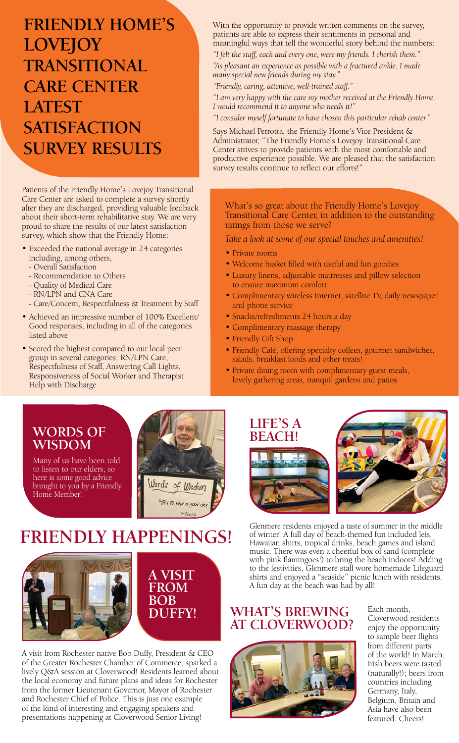Patients of the Friendly Home's Lovejoy Transitional Care Center are asked to complete a survey shortly after they are discharged, providing valuable feedback about their short-term rehabilitative stay. We are very proud to share the results of our latest satisfaction survey, which show that the Friendly Home:

- Exceeded the national average in 24 categories including, among others,
	- Overall Satisfaction
	- Recommendation to Others
	- Quality of Medical Care
	- RN/LPN and CNA Care
	- Care/Concern, Respectfulness & Treatment by Staff
- Achieved an impressive number of 100% Excellent/ Good responses, including in all of the categories listed above
- Scored the highest compared to our local peer group in several categories: RN/LPN Care, Respectfulness of Staff, Answering Call Lights, Responsiveness of Social Worker and Therapist Help with Discharge

What's so great about the Friendly Home's Lovejoy Transitional Care Center, in addition to the outstanding ratings from those we serve?

*Take a look at some of our special touches and amenities!* 

- Private rooms
- Welcome basket filled with useful and fun goodies
- Luxury linens, adjustable mattresses and pillow selection to ensure maximum comfort
- Complimentary wireless Internet, satellite TV, daily newspaper and phone service
- Snacks/refreshments 24 hours a day
- Complimentary massage therapy
- Friendly Gift Shop
- Friendly Café, offering specialty coffees, gourmet sandwiches, salads, breakfast foods and other treats!
- Private dining room with complimentary guest meals, lovely gathering areas, tranquil gardens and patios

# **FRIENDLY HOME'S LOVEJOY TRANSITIONAL CARE CENTER LATEST SATISFACTION SURVEY RESULTS**

With the opportunity to provide written comments on the survey, patients are able to express their sentiments in personal and meaningful ways that tell the wonderful story behind the numbers:

*"I felt the staff, each and every one, were my friends. I cherish them."*

*"As pleasant an experience as possible with a fractured ankle. I made many special new friends during my stay."*

*"Friendly, caring, attentive, well-trained staff."*

*"I am very happy with the care my mother received at the Friendly Home. I would recommend it to anyone who needs it!"*

*"I consider myself fortunate to have chosen this particular rehab center."*

Says Michael Perrotta, the Friendly Home's Vice President & Administrator, "The Friendly Home's Lovejoy Transitional Care Center strives to provide patients with the most comfortable and productive experience possible. We are pleased that the satisfaction survey results continue to reflect our efforts!"

> Glenmere residents enjoyed a taste of summer in the middle of winter! A full day of beach-themed fun included leis, Hawaiian shirts, tropical drinks, beach games and island



music. There was even a cheerful box of sand (complete with pink flamingoes!) to bring the beach indoors! Adding to the festivities, Glenmere staff wore homemade Lifeguard shirts and enjoyed a "seaside" picnic lunch with residents. A fun day at the beach was had by all!







Many of us have been told to listen to our elders, so here is some good advice brought to you by a Friendly Home Member!

> Each month, Cloverwood residents enjoy the opportunity to sample beer flights from different parts of the world! In March, Irish beers were tasted (naturally!); beers from countries including Germany, Italy, Belgium, Britain and Asia have also been featured. Cheers!

### **WHAT'S BREWING AT CLOVERWOOD?**



A visit from Rochester native Bob Duffy, President & CEO of the Greater Rochester Chamber of Commerce, sparked a lively Q&A session at Cloverwood! Residents learned about the local economy and future plans and ideas for Rochester from the former Lieutenant Governor, Mayor of Rochester and Rochester Chief of Police. This is just one example of the kind of interesting and engaging speakers and presentations happening at Cloverwood Senior Living!

# **FRIENDLY HAPPENINGS!**

### **A VISIT FROM BOB DUFFY!**